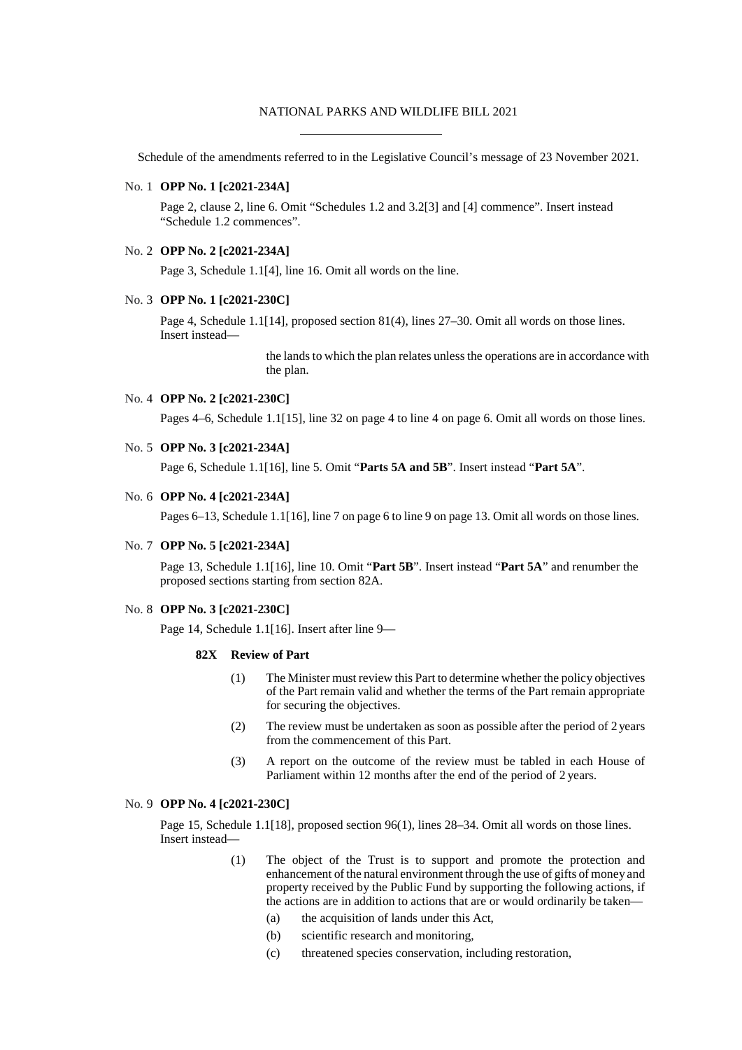#### NATIONAL PARKS AND WILDLIFE BILL 2021

Schedule of the amendments referred to in the Legislative Council's message of 23 November 2021.

### No. 1 **OPP No. 1 [c2021-234A]**

Page 2, clause 2, line 6. Omit "Schedules 1.2 and 3.2[3] and [4] commence". Insert instead "Schedule 1.2 commences".

#### No. 2 **OPP No. 2 [c2021-234A]**

Page 3, Schedule 1.1[4], line 16. Omit all words on the line.

#### No. 3 **OPP No. 1 [c2021-230C]**

Page 4, Schedule 1.1[14], proposed section 81(4), lines 27–30. Omit all words on those lines. Insert instead—

> the lands to which the plan relates unless the operations are in accordance with the plan.

#### No. 4 **OPP No. 2 [c2021-230C]**

Pages 4–6, Schedule 1.1[15], line 32 on page 4 to line 4 on page 6. Omit all words on those lines.

#### No. 5 **OPP No. 3 [c2021-234A]**

Page 6, Schedule 1.1[16], line 5. Omit "**Parts 5A and 5B**". Insert instead "**Part 5A**".

# No. 6 **OPP No. 4 [c2021-234A]**

Pages 6–13, Schedule 1.1[16], line 7 on page 6 to line 9 on page 13. Omit all words on those lines.

#### No. 7 **OPP No. 5 [c2021-234A]**

Page 13, Schedule 1.1[16], line 10. Omit "**Part 5B**". Insert instead "**Part 5A**" and renumber the proposed sections starting from section 82A.

### No. 8 **OPP No. 3 [c2021-230C]**

Page 14, Schedule 1.1[16]. Insert after line 9—

#### **82X Review of Part**

- (1) The Minister must review this Part to determine whether the policy objectives of the Part remain valid and whether the terms of the Part remain appropriate for securing the objectives.
- (2) The review must be undertaken as soon as possible after the period of 2 years from the commencement of this Part.
- (3) A report on the outcome of the review must be tabled in each House of Parliament within 12 months after the end of the period of 2 years.

### No. 9 **OPP No. 4 [c2021-230C]**

Page 15, Schedule 1.1[18], proposed section 96(1), lines 28–34. Omit all words on those lines. Insert instead—

- (1) The object of the Trust is to support and promote the protection and enhancement of the natural environment through the use of gifts of money and property received by the Public Fund by supporting the following actions, if the actions are in addition to actions that are or would ordinarily be taken—
	- (a) the acquisition of lands under this Act,
	- (b) scientific research and monitoring,
	- (c) threatened species conservation, including restoration,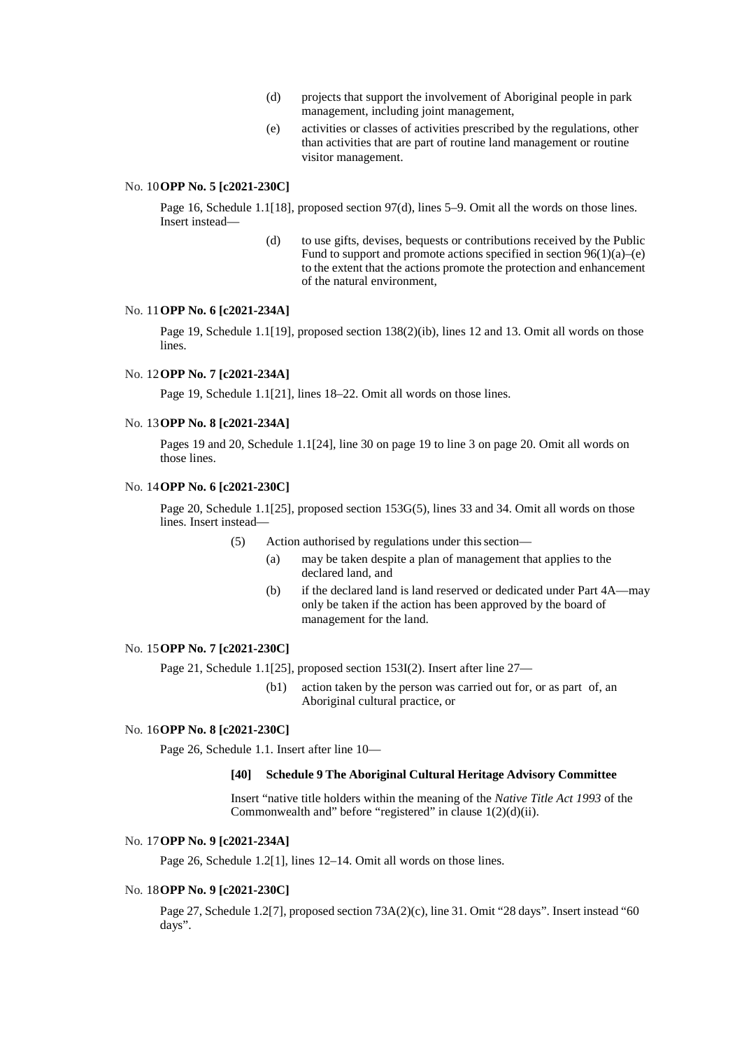- (d) projects that support the involvement of Aboriginal people in park management, including joint management,
- (e) activities or classes of activities prescribed by the regulations, other than activities that are part of routine land management or routine visitor management.

## No. 10**OPP No. 5 [c2021-230C]**

Page 16, Schedule 1.1[18], proposed section 97(d), lines 5–9. Omit all the words on those lines. Insert instead—

> (d) to use gifts, devises, bequests or contributions received by the Public Fund to support and promote actions specified in section  $96(1)(a)$ –(e) to the extent that the actions promote the protection and enhancement of the natural environment,

# No. 11**OPP No. 6 [c2021-234A]**

Page 19, Schedule 1.1[19], proposed section 138(2)(ib), lines 12 and 13. Omit all words on those lines.

# No. 12**OPP No. 7 [c2021-234A]**

Page 19, Schedule 1.1[21], lines 18–22. Omit all words on those lines.

### No. 13**OPP No. 8 [c2021-234A]**

Pages 19 and 20, Schedule 1.1[24], line 30 on page 19 to line 3 on page 20. Omit all words on those lines.

# No. 14**OPP No. 6 [c2021-230C]**

Page 20, Schedule 1.1[25], proposed section 153G(5), lines 33 and 34. Omit all words on those lines. Insert instead—

(5) Action authorised by regulations under thissection—

- (a) may be taken despite a plan of management that applies to the declared land, and
- (b) if the declared land is land reserved or dedicated under Part 4A—may only be taken if the action has been approved by the board of management for the land.

### No. 15**OPP No. 7 [c2021-230C]**

Page 21, Schedule 1.1[25], proposed section 153I(2). Insert after line 27—

(b1) action taken by the person was carried out for, or as part of, an Aboriginal cultural practice, or

# No. 16**OPP No. 8 [c2021-230C]**

Page 26, Schedule 1.1. Insert after line 10—

#### **[40] Schedule 9 The Aboriginal Cultural Heritage Advisory Committee**

Insert "native title holders within the meaning of the *Native Title Act 1993* of the Commonwealth and" before "registered" in clause  $1(2)(d)(ii)$ .

# No. 17**OPP No. 9 [c2021-234A]**

Page 26, Schedule 1.2[1], lines 12–14. Omit all words on those lines.

#### No. 18**OPP No. 9 [c2021-230C]**

Page 27, Schedule 1.2[7], proposed section 73A(2)(c), line 31. Omit "28 days". Insert instead "60 days".